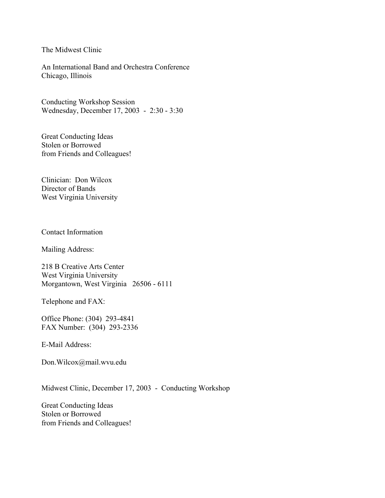The Midwest Clinic

An International Band and Orchestra Conference Chicago, Illinois

Conducting Workshop Session Wednesday, December 17, 2003 - 2:30 - 3:30

Great Conducting Ideas Stolen or Borrowed from Friends and Colleagues!

Clinician: Don Wilcox Director of Bands West Virginia University

Contact Information

Mailing Address:

218 B Creative Arts Center West Virginia University Morgantown, West Virginia 26506 - 6111

Telephone and FAX:

Office Phone: (304) 293-4841 FAX Number: (304) 293-2336

E-Mail Address:

Don.Wilcox@mail.wvu.edu

Midwest Clinic, December 17, 2003 - Conducting Workshop

Great Conducting Ideas Stolen or Borrowed from Friends and Colleagues!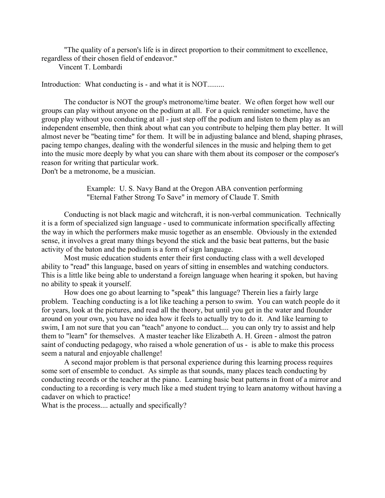"The quality of a person's life is in direct proportion to their commitment to excellence, regardless of their chosen field of endeavor."

Vincent T. Lombardi

Introduction: What conducting is - and what it is NOT.........

 The conductor is NOT the group's metronome/time beater. We often forget how well our groups can play without anyone on the podium at all. For a quick reminder sometime, have the group play without you conducting at all - just step off the podium and listen to them play as an independent ensemble, then think about what can you contribute to helping them play better. It will almost never be "beating time" for them. It will be in adjusting balance and blend, shaping phrases, pacing tempo changes, dealing with the wonderful silences in the music and helping them to get into the music more deeply by what you can share with them about its composer or the composer's reason for writing that particular work.

Don't be a metronome, be a musician.

 Example: U. S. Navy Band at the Oregon ABA convention performing "Eternal Father Strong To Save" in memory of Claude T. Smith

 Conducting is not black magic and witchcraft, it is non-verbal communication. Technically it is a form of specialized sign language - used to communicate information specifically affecting the way in which the performers make music together as an ensemble. Obviously in the extended sense, it involves a great many things beyond the stick and the basic beat patterns, but the basic activity of the baton and the podium is a form of sign language.

 Most music education students enter their first conducting class with a well developed ability to "read" this language, based on years of sitting in ensembles and watching conductors. This is a little like being able to understand a foreign language when hearing it spoken, but having no ability to speak it yourself.

 How does one go about learning to "speak" this language? Therein lies a fairly large problem. Teaching conducting is a lot like teaching a person to swim. You can watch people do it for years, look at the pictures, and read all the theory, but until you get in the water and flounder around on your own, you have no idea how it feels to actually try to do it. And like learning to swim, I am not sure that you can "teach" anyone to conduct.... you can only try to assist and help them to "learn" for themselves. A master teacher like Elizabeth A. H. Green - almost the patron saint of conducting pedagogy, who raised a whole generation of us - is able to make this process seem a natural and enjoyable challenge!

 A second major problem is that personal experience during this learning process requires some sort of ensemble to conduct. As simple as that sounds, many places teach conducting by conducting records or the teacher at the piano. Learning basic beat patterns in front of a mirror and conducting to a recording is very much like a med student trying to learn anatomy without having a cadaver on which to practice!

What is the process.... actually and specifically?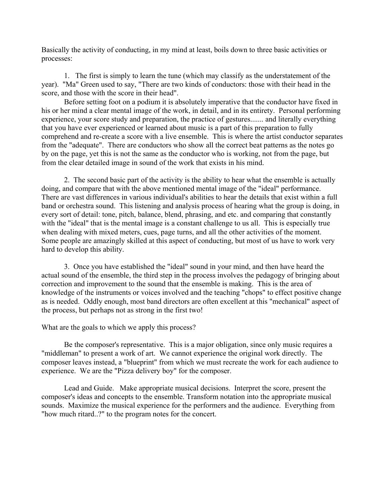Basically the activity of conducting, in my mind at least, boils down to three basic activities or processes:

 1. The first is simply to learn the tune (which may classify as the understatement of the year). "Ma" Green used to say, "There are two kinds of conductors: those with their head in the score, and those with the score in their head".

 Before setting foot on a podium it is absolutely imperative that the conductor have fixed in his or her mind a clear mental image of the work, in detail, and in its entirety. Personal performing experience, your score study and preparation, the practice of gestures....... and literally everything that you have ever experienced or learned about music is a part of this preparation to fully comprehend and re-create a score with a live ensemble. This is where the artist conductor separates from the "adequate". There are conductors who show all the correct beat patterns as the notes go by on the page, yet this is not the same as the conductor who is working, not from the page, but from the clear detailed image in sound of the work that exists in his mind.

 2. The second basic part of the activity is the ability to hear what the ensemble is actually doing, and compare that with the above mentioned mental image of the "ideal" performance. There are vast differences in various individual's abilities to hear the details that exist within a full band or orchestra sound. This listening and analysis process of hearing what the group is doing, in every sort of detail: tone, pitch, balance, blend, phrasing, and etc. and comparing that constantly with the "ideal" that is the mental image is a constant challenge to us all. This is especially true when dealing with mixed meters, cues, page turns, and all the other activities of the moment. Some people are amazingly skilled at this aspect of conducting, but most of us have to work very hard to develop this ability.

 3. Once you have established the "ideal" sound in your mind, and then have heard the actual sound of the ensemble, the third step in the process involves the pedagogy of bringing about correction and improvement to the sound that the ensemble is making. This is the area of knowledge of the instruments or voices involved and the teaching "chops" to effect positive change as is needed. Oddly enough, most band directors are often excellent at this "mechanical" aspect of the process, but perhaps not as strong in the first two!

What are the goals to which we apply this process?

 Be the composer's representative. This is a major obligation, since only music requires a "middleman" to present a work of art. We cannot experience the original work directly. The composer leaves instead, a "blueprint" from which we must recreate the work for each audience to experience. We are the "Pizza delivery boy" for the composer.

 Lead and Guide. Make appropriate musical decisions. Interpret the score, present the composer's ideas and concepts to the ensemble. Transform notation into the appropriate musical sounds. Maximize the musical experience for the performers and the audience. Everything from "how much ritard..?" to the program notes for the concert.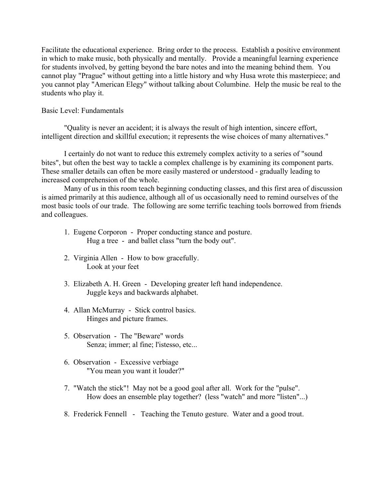Facilitate the educational experience. Bring order to the process. Establish a positive environment in which to make music, both physically and mentally. Provide a meaningful learning experience for students involved, by getting beyond the bare notes and into the meaning behind them. You cannot play "Prague" without getting into a little history and why Husa wrote this masterpiece; and you cannot play "American Elegy" without talking about Columbine. Help the music be real to the students who play it.

## Basic Level: Fundamentals

 "Quality is never an accident; it is always the result of high intention, sincere effort, intelligent direction and skillful execution; it represents the wise choices of many alternatives."

 I certainly do not want to reduce this extremely complex activity to a series of "sound bites", but often the best way to tackle a complex challenge is by examining its component parts. These smaller details can often be more easily mastered or understood - gradually leading to increased comprehension of the whole.

 Many of us in this room teach beginning conducting classes, and this first area of discussion is aimed primarily at this audience, although all of us occasionally need to remind ourselves of the most basic tools of our trade. The following are some terrific teaching tools borrowed from friends and colleagues.

- 1. Eugene Corporon Proper conducting stance and posture. Hug a tree - and ballet class "turn the body out".
- 2. Virginia Allen How to bow gracefully. Look at your feet
- 3. Elizabeth A. H. Green Developing greater left hand independence. Juggle keys and backwards alphabet.
- 4. Allan McMurray Stick control basics. Hinges and picture frames.
- 5. Observation The "Beware" words Senza; immer; al fine; l'istesso, etc...
- 6. Observation Excessive verbiage "You mean you want it louder?"
- 7. "Watch the stick"! May not be a good goal after all. Work for the "pulse". How does an ensemble play together? (less "watch" and more "listen"...)
- 8. Frederick Fennell Teaching the Tenuto gesture. Water and a good trout.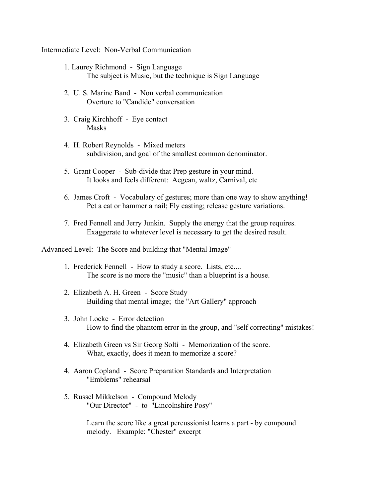Intermediate Level: Non-Verbal Communication

- 1. Laurey Richmond Sign Language The subject is Music, but the technique is Sign Language
- 2. U. S. Marine Band Non verbal communication Overture to "Candide" conversation
- 3. Craig Kirchhoff Eye contact Masks
- 4. H. Robert Reynolds Mixed meters subdivision, and goal of the smallest common denominator.
- 5. Grant Cooper Sub-divide that Prep gesture in your mind. It looks and feels different: Aegean, waltz, Carnival, etc
- 6. James Croft Vocabulary of gestures; more than one way to show anything! Pet a cat or hammer a nail; Fly casting; release gesture variations.
- 7. Fred Fennell and Jerry Junkin. Supply the energy that the group requires. Exaggerate to whatever level is necessary to get the desired result.

Advanced Level: The Score and building that "Mental Image"

- 1. Frederick Fennell How to study a score. Lists, etc.... The score is no more the "music" than a blueprint is a house.
- 2. Elizabeth A. H. Green Score Study Building that mental image; the "Art Gallery" approach
- 3. John Locke Error detection How to find the phantom error in the group, and "self correcting" mistakes!
- 4. Elizabeth Green vs Sir Georg Solti Memorization of the score. What, exactly, does it mean to memorize a score?
- 4. Aaron Copland Score Preparation Standards and Interpretation "Emblems" rehearsal
- 5. Russel Mikkelson Compound Melody "Our Director" - to "Lincolnshire Posy"

 Learn the score like a great percussionist learns a part - by compound melody. Example: "Chester" excerpt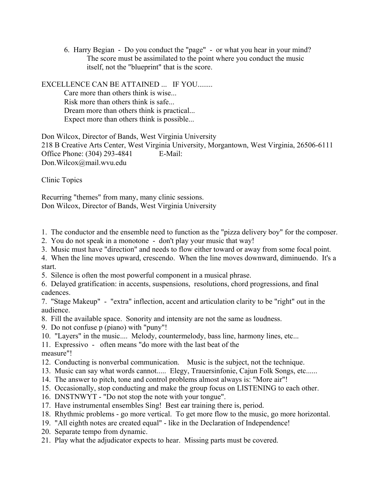6. Harry Begian - Do you conduct the "page" - or what you hear in your mind? The score must be assimilated to the point where you conduct the music itself, not the "blueprint" that is the score.

EXCELLENCE CAN BE ATTAINED ... IF YOU........

 Care more than others think is wise... Risk more than others think is safe... Dream more than others think is practical... Expect more than others think is possible...

Don Wilcox, Director of Bands, West Virginia University 218 B Creative Arts Center, West Virginia University, Morgantown, West Virginia, 26506-6111 Office Phone: (304) 293-4841 E-Mail: Don.Wilcox@mail.wvu.edu

Clinic Topics

Recurring "themes" from many, many clinic sessions. Don Wilcox, Director of Bands, West Virginia University

- 1. The conductor and the ensemble need to function as the "pizza delivery boy" for the composer.
- 2. You do not speak in a monotone don't play your music that way!
- 3. Music must have "direction" and needs to flow either toward or away from some focal point.
- 4. When the line moves upward, crescendo. When the line moves downward, diminuendo. It's a start.
- 5. Silence is often the most powerful component in a musical phrase.
- 6. Delayed gratification: in accents, suspensions, resolutions, chord progressions, and final cadences.
- 7. "Stage Makeup" "extra" inflection, accent and articulation clarity to be "right" out in the audience.
- 8. Fill the available space. Sonority and intensity are not the same as loudness.
- 9. Do not confuse p (piano) with "puny"!
- 10. "Layers" in the music.... Melody, countermelody, bass line, harmony lines, etc...
- 11. Expressivo often means "do more with the last beat of the measure"!
- 12. Conducting is nonverbal communication. Music is the subject, not the technique.
- 13. Music can say what words cannot..... Elegy, Trauersinfonie, Cajun Folk Songs, etc......
- 14. The answer to pitch, tone and control problems almost always is: "More air"!
- 15. Occasionally, stop conducting and make the group focus on LISTENING to each other.
- 16. DNSTNWYT "Do not stop the note with your tongue".
- 17. Have instrumental ensembles Sing! Best ear training there is, period.
- 18. Rhythmic problems go more vertical. To get more flow to the music, go more horizontal.
- 19. "All eighth notes are created equal" like in the Declaration of Independence!
- 20. Separate tempo from dynamic.
- 21. Play what the adjudicator expects to hear. Missing parts must be covered.